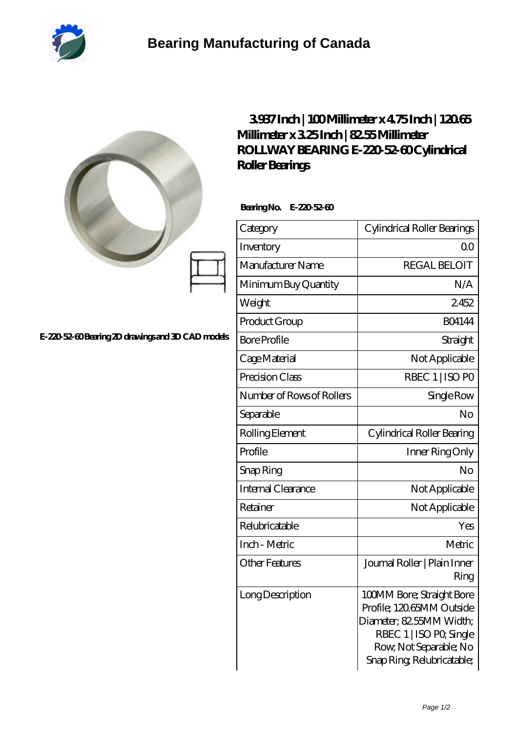

|                                                  | 3937Inch   100Millimeter x 475Inch   12065<br>Millimeterx325Inch   8255Millimeter<br>ROLLWAY BEARING E-220 52-60 Cylindrical<br>Roller Bearings<br>BearingNo. E-22052-60 |                                                                                                                                                                     |
|--------------------------------------------------|--------------------------------------------------------------------------------------------------------------------------------------------------------------------------|---------------------------------------------------------------------------------------------------------------------------------------------------------------------|
|                                                  | Category                                                                                                                                                                 | Cylindrical Roller Bearings                                                                                                                                         |
|                                                  | Inventory                                                                                                                                                                | 0 <sub>0</sub>                                                                                                                                                      |
|                                                  | Manufacturer Name                                                                                                                                                        | <b>REGAL BELOIT</b>                                                                                                                                                 |
|                                                  | Minimum Buy Quantity                                                                                                                                                     | N/A                                                                                                                                                                 |
|                                                  | Weight                                                                                                                                                                   | 2452                                                                                                                                                                |
|                                                  | Product Group                                                                                                                                                            | <b>BO4144</b>                                                                                                                                                       |
| E-22052-60 Bearing 2D drawings and 3D CAD models | <b>Bore Profile</b>                                                                                                                                                      | Straight                                                                                                                                                            |
|                                                  | Cage Material                                                                                                                                                            | Not Applicable                                                                                                                                                      |
|                                                  | Precision Class                                                                                                                                                          | RBEC 1   ISO PO                                                                                                                                                     |
|                                                  | Number of Rows of Rollers                                                                                                                                                | Single Row                                                                                                                                                          |
|                                                  | Separable                                                                                                                                                                | No                                                                                                                                                                  |
|                                                  | Rolling Element                                                                                                                                                          | Cylindrical Roller Bearing                                                                                                                                          |
|                                                  | Profile                                                                                                                                                                  | Inner Ring Only                                                                                                                                                     |
|                                                  | Snap Ring                                                                                                                                                                | No                                                                                                                                                                  |
|                                                  | Internal Clearance                                                                                                                                                       | Not Applicable                                                                                                                                                      |
|                                                  | Retainer                                                                                                                                                                 | Not Applicable                                                                                                                                                      |
|                                                  | Relubricatable                                                                                                                                                           | Yes                                                                                                                                                                 |
|                                                  | Inch - Metric                                                                                                                                                            | Metric                                                                                                                                                              |
|                                                  | <b>Other Features</b>                                                                                                                                                    | Journal Roller   Plain Inner<br>Ring                                                                                                                                |
|                                                  | Long Description                                                                                                                                                         | 100MM Bore; Straight Bore<br>Profile; 12065MM Outside<br>Diameter; 82.55MM Width;<br>RBEC 1   ISO PO, Single<br>Row, Not Separable; No<br>Snap Ring Relubricatable; |